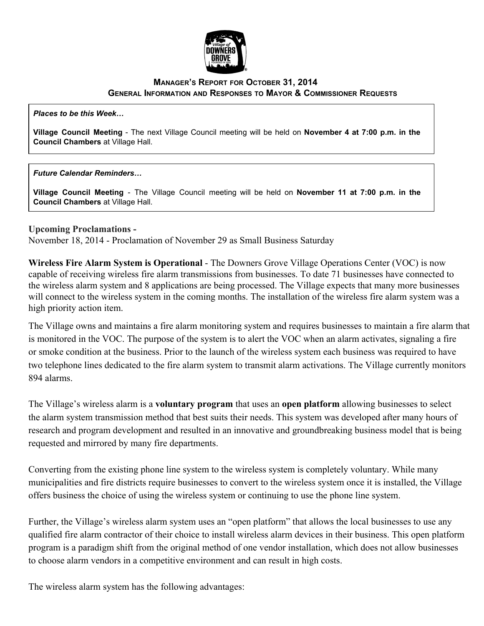

## **MANAGER'S REPORT FOR OCTOBER 31, 2014 GENERAL INFORMATION AND RESPONSES TO MAYOR & COMMISSIONER REQUESTS**

*Places to be this Week…*

**Village Council Meeting** The next Village Council meeting will be held on **November 4 at 7:00 p.m. in the Council Chambers** at Village Hall.

## *Future Calendar Reminders…*

**Village Council Meeting** The Village Council meeting will be held on **November 11 at 7:00 p.m. in the Council Chambers** at Village Hall.

## **Upcoming Proclamations**

November 18, 2014 Proclamation of November 29 as Small Business Saturday

**Wireless Fire Alarm System is Operational** The Downers Grove Village Operations Center (VOC) is now capable of receiving wireless fire alarm transmissions from businesses. To date 71 businesses have connected to the wireless alarm system and 8 applications are being processed. The Village expects that many more businesses will connect to the wireless system in the coming months. The installation of the wireless fire alarm system was a high priority action item.

The Village owns and maintains a fire alarm monitoring system and requires businesses to maintain a fire alarm that is monitored in the VOC. The purpose of the system is to alert the VOC when an alarm activates, signaling a fire or smoke condition at the business. Prior to the launch of the wireless system each business was required to have two telephone lines dedicated to the fire alarm system to transmit alarm activations. The Village currently monitors 894 alarms.

The Village's wireless alarm is a **voluntary program** that uses an **open platform** allowing businesses to select the alarm system transmission method that best suits their needs. This system was developed after many hours of research and program development and resulted in an innovative and groundbreaking business model that is being requested and mirrored by many fire departments.

Converting from the existing phone line system to the wireless system is completely voluntary. While many municipalities and fire districts require businesses to convert to the wireless system once it is installed, the Village offers business the choice of using the wireless system or continuing to use the phone line system.

Further, the Village's wireless alarm system uses an "open platform" that allows the local businesses to use any qualified fire alarm contractor of their choice to install wireless alarm devices in their business. This open platform program is a paradigm shift from the original method of one vendor installation, which does not allow businesses to choose alarm vendors in a competitive environment and can result in high costs.

The wireless alarm system has the following advantages: